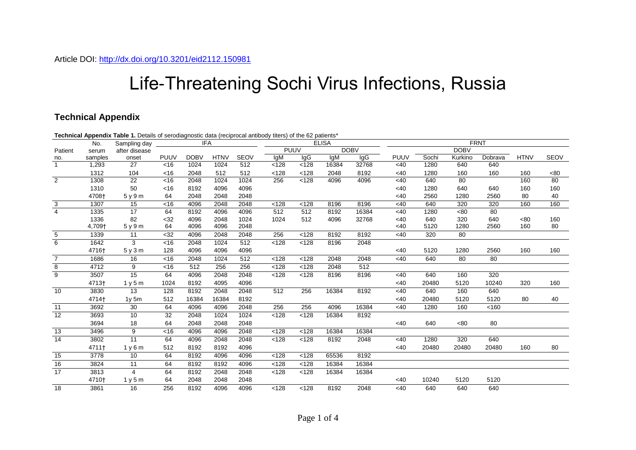## Life-Threatening Sochi Virus Infections, Russia

## **Technical Appendix**

|                 |         | Technical Appendix Table 1. Details of serodiagnostic data (reciprocal antibody titers) of the 62 patients* |             |             |             |             |              |             |       |             |             |       |             |         |             |      |
|-----------------|---------|-------------------------------------------------------------------------------------------------------------|-------------|-------------|-------------|-------------|--------------|-------------|-------|-------------|-------------|-------|-------------|---------|-------------|------|
|                 | No.     | <b>IFA</b><br>Sampling day                                                                                  |             |             |             |             | <b>ELISA</b> |             |       |             | <b>FRNT</b> |       |             |         |             |      |
| Patient         | serum   | after disease                                                                                               |             |             |             |             |              | <b>PUUV</b> |       | <b>DOBV</b> |             |       | <b>DOBV</b> |         |             |      |
| no.             | samples | onset                                                                                                       | <b>PUUV</b> | <b>DOBV</b> | <b>HTNV</b> | <b>SEOV</b> | IqM          | lgG         | lgM   | lgG         | <b>PUUV</b> | Sochi | Kurkino     | Dobrava | <b>HTNV</b> | SEOV |
| $\mathbf{1}$    | 1,293   | 27                                                                                                          | <16         | 1024        | 1024        | 512         | < 128        | < 128       | 16384 | 32768       | <40         | 1280  | 640         | 640     |             |      |
|                 | 1312    | 104                                                                                                         | <16         | 2048        | 512         | 512         | < 128        | < 128       | 2048  | 8192        | <40         | 1280  | 160         | 160     | 160         | <80  |
| $\overline{2}$  | 1308    | 22                                                                                                          | <16         | 2048        | 1024        | 1024        | 256          | < 128       | 4096  | 4096        | <40         | 640   | 80          |         | 160         | 80   |
|                 | 1310    | 50                                                                                                          | <16         | 8192        | 4096        | 4096        |              |             |       |             | <40         | 1280  | 640         | 640     | 160         | 160  |
|                 | 4708+   | 5y9m                                                                                                        | 64          | 2048        | 2048        | 2048        |              |             |       |             | <40         | 2560  | 1280        | 2560    | 80          | 40   |
| $\overline{3}$  | 1307    | 15                                                                                                          | <16         | 4096        | 2048        | 2048        | < 128        | < 128       | 8196  | 8196        | <40         | 640   | 320         | 320     | 160         | 160  |
| $\overline{4}$  | 1335    | 17                                                                                                          | 64          | 8192        | 4096        | 4096        | 512          | 512         | 8192  | 16384       | <40         | 1280  | <80         | 80      |             |      |
|                 | 1336    | 82                                                                                                          | $32$        | 4096        | 2048        | 1024        | 1024         | 512         | 4096  | 32768       | <40         | 640   | 320         | 640     | <80         | 160  |
|                 | 4,709+  | 5y9m                                                                                                        | 64          | 4096        | 4096        | 2048        |              |             |       |             | <40         | 5120  | 1280        | 2560    | 160         | 80   |
| 5               | 1339    | 11                                                                                                          | <32         | 4096        | 2048        | 2048        | 256          | < 128       | 8192  | 8192        | <40         | 320   | 80          |         |             |      |
| $\overline{6}$  | 1642    | 3                                                                                                           | <16         | 2048        | 1024        | 512         | < 128        | < 128       | 8196  | 2048        |             |       |             |         |             |      |
|                 | 4716+   | 5y3m                                                                                                        | 128         | 4096        | 4096        | 4096        |              |             |       |             | <40         | 5120  | 1280        | 2560    | 160         | 160  |
| $\overline{7}$  | 1686    | 16                                                                                                          | < 16        | 2048        | 1024        | 512         | < 128        | < 128       | 2048  | 2048        | <40         | 640   | 80          | 80      |             |      |
| 8               | 4712    | 9                                                                                                           | <16         | 512         | 256         | 256         | < 128        | < 128       | 2048  | 512         |             |       |             |         |             |      |
| $\overline{9}$  | 3507    | $\overline{15}$                                                                                             | 64          | 4096        | 2048        | 2048        | < 128        | < 128       | 8196  | 8196        | <40         | 640   | 160         | 320     |             |      |
|                 | 4713+   | 1 v 5 m                                                                                                     | 1024        | 8192        | 4095        | 4096        |              |             |       |             | <40         | 20480 | 5120        | 10240   | 320         | 160  |
| $\overline{10}$ | 3830    | $\overline{13}$                                                                                             | 128         | 8192        | 2048        | 2048        | 512          | 256         | 16384 | 8192        | <40         | 640   | 160         | 640     |             |      |
|                 | 4714+   | $1v$ 5 $m$                                                                                                  | 512         | 16384       | 16384       | 8192        |              |             |       |             | <40         | 20480 | 5120        | 5120    | 80          | 40   |
| 11              | 3692    | 30                                                                                                          | 64          | 4096        | 4096        | 2048        | 256          | 256         | 4096  | 16384       | <40         | 1280  | 160         | < 160   |             |      |
| 12              | 3693    | 10                                                                                                          | 32          | 2048        | 1024        | 1024        | < 128        | < 128       | 16384 | 8192        |             |       |             |         |             |      |
|                 | 3694    | 18                                                                                                          | 64          | 2048        | 2048        | 2048        |              |             |       |             | <40         | 640   | < 80        | 80      |             |      |
| 13              | 3496    | 9                                                                                                           | <16         | 4096        | 4096        | 2048        | < 128        | < 128       | 16384 | 16384       |             |       |             |         |             |      |
| $\overline{14}$ | 3802    | 11                                                                                                          | 64          | 4096        | 2048        | 2048        | < 128        | < 128       | 8192  | 2048        | <40         | 1280  | 320         | 640     |             |      |
|                 | 4711+   | 1y6m                                                                                                        | 512         | 8192        | 8192        | 4096        |              |             |       |             | <40         | 20480 | 20480       | 20480   | 160         | 80   |
| 15              | 3778    | 10                                                                                                          | 64          | 8192        | 4096        | 4096        | < 128        | < 128       | 65536 | 8192        |             |       |             |         |             |      |
| 16              | 3824    | 11                                                                                                          | 64          | 8192        | 8192        | 4096        | < 128        | < 128       | 16384 | 16384       |             |       |             |         |             |      |
| 17              | 3813    | 4                                                                                                           | 64          | 8192        | 2048        | 2048        | < 128        | < 128       | 16384 | 16384       |             |       |             |         |             |      |
|                 | 4710+   | 1y5m                                                                                                        | 64          | 2048        | 2048        | 2048        |              |             |       |             | <40         | 10240 | 5120        | 5120    |             |      |
| 18              | 3861    | 16                                                                                                          | 256         | 8192        | 4096        | 4096        | < 128        | < 128       | 8192  | 2048        | <40         | 640   | 640         | 640     |             |      |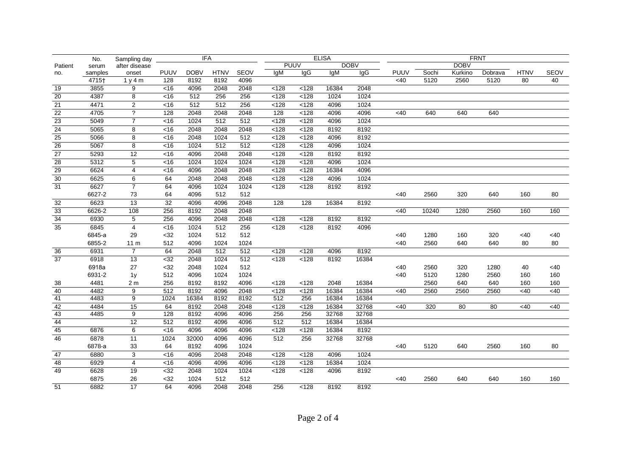|                 | No.     | Sampling day             |                | <b>IFA</b>  |             |             | <b>ELISA</b> |             |       | <b>FRNT</b> |        |       |             |         |             |             |
|-----------------|---------|--------------------------|----------------|-------------|-------------|-------------|--------------|-------------|-------|-------------|--------|-------|-------------|---------|-------------|-------------|
| Patient         | serum   | after disease            |                |             |             |             |              | <b>PUUV</b> |       | <b>DOBV</b> |        |       | <b>DOBV</b> |         |             |             |
| no.             | samples | onset                    | <b>PUUV</b>    | <b>DOBV</b> | <b>HTNV</b> | <b>SEOV</b> | IqM          | IgG         | lgM   | lgG.        | PUUV   | Sochi | Kurkino     | Dobrava | <b>HTNV</b> | <b>SEOV</b> |
|                 | 4715+   | 1y4m                     | 128            | 8192        | 8192        | 4096        |              |             |       |             | $<$ 40 | 5120  | 2560        | 5120    | 80          | 40          |
| 19              | 3855    | 9                        | <16            | 4096        | 2048        | 2048        | < 128        | < 128       | 16384 | 2048        |        |       |             |         |             |             |
| $\overline{20}$ | 4387    | 8                        | <16            | 512         | 256         | 256         | < 128        | < 128       | 1024  | 1024        |        |       |             |         |             |             |
| 21              | 4471    | $\overline{2}$           | <16            | 512         | 512         | 256         | < 128        | < 128       | 4096  | 1024        |        |       |             |         |             |             |
| $\overline{22}$ | 4705    | $\overline{\phantom{a}}$ | 128            | 2048        | 2048        | 2048        | 128          | < 128       | 4096  | 4096        | <40    | 640   | 640         | 640     |             |             |
| 23              | 5049    | $\overline{7}$           | $\overline{5}$ | 1024        | 512         | 512         | $128$        | $128$       | 4096  | 1024        |        |       |             |         |             |             |
| 24              | 5065    | 8                        | <16            | 2048        | 2048        | 2048        | < 128        | < 128       | 8192  | 8192        |        |       |             |         |             |             |
| 25              | 5066    | 8                        | <16            | 2048        | 1024        | 512         | < 128        | < 128       | 4096  | 8192        |        |       |             |         |             |             |
| 26              | 5067    | 8                        | <16            | 1024        | 512         | 512         | < 128        | < 128       | 4096  | 1024        |        |       |             |         |             |             |
| 27              | 5293    | 12                       | <16            | 4096        | 2048        | 2048        | < 128        | < 128       | 8192  | 8192        |        |       |             |         |             |             |
| 28              | 5312    | $\overline{5}$           | <16            | 1024        | 1024        | 1024        | < 128        | < 128       | 4096  | 1024        |        |       |             |         |             |             |
| 29              | 6624    | $\overline{4}$           | <16            | 4096        | 2048        | 2048        | $128$        | $128$       | 16384 | 4096        |        |       |             |         |             |             |
| 30              | 6625    | $\overline{6}$           | 64             | 2048        | 2048        | 2048        | < 128        | < 128       | 4096  | 1024        |        |       |             |         |             |             |
| 31              | 6627    | $\overline{7}$           | 64             | 4096        | 1024        | 1024        | < 128        | < 128       | 8192  | 8192        |        |       |             |         |             |             |
|                 | 6627-2  | 73                       | 64             | 4096        | 512         | 512         |              |             |       |             | <40    | 2560  | 320         | 640     | 160         | 80          |
| 32              | 6623    | 13                       | 32             | 4096        | 4096        | 2048        | 128          | 128         | 16384 | 8192        |        |       |             |         |             |             |
| 33              | 6626-2  | 108                      | 256            | 8192        | 2048        | 2048        |              |             |       |             | <40    | 10240 | 1280        | 2560    | 160         | 160         |
| 34              | 6930    | $\overline{5}$           | 256            | 4096        | 2048        | 2048        | < 128        | < 128       | 8192  | 8192        |        |       |             |         |             |             |
| 35              | 6845    | $\overline{4}$           | <16            | 1024        | 512         | 256         | $128$        | < 128       | 8192  | 4096        |        |       |             |         |             |             |
|                 | 6845-a  | 29                       | $32$           | 1024        | 512         | 512         |              |             |       |             | <40    | 1280  | 160         | 320     | <40         | <40         |
|                 | 6855-2  | 11 <sub>m</sub>          | 512            | 4096        | 1024        | 1024        |              |             |       |             | <40    | 2560  | 640         | 640     | 80          | 80          |
| $\overline{36}$ | 6931    | $\overline{7}$           | 64             | 2048        | 512         | 512         | < 128        | < 128       | 4096  | 8192        |        |       |             |         |             |             |
| 37              | 6918    | $\overline{13}$          | <32            | 2048        | 1024        | 512         | $128$        | < 128       | 8192  | 16384       |        |       |             |         |             |             |
|                 | 6918a   | 27                       | $32$           | 2048        | 1024        | 512         |              |             |       |             | <40    | 2560  | 320         | 1280    | 40          | <40         |
|                 | 6931-2  | 1y                       | 512            | 4096        | 1024        | 1024        |              |             |       |             | <40    | 5120  | 1280        | 2560    | 160         | 160         |
| 38              | 4481    | 2 m                      | 256            | 8192        | 8192        | 4096        | < 128        | < 128       | 2048  | 16384       |        | 2560  | 640         | 640     | 160         | 160         |
| 40              | 4482    | 9                        | 512            | 8192        | 4096        | 2048        | < 128        | < 128       | 16384 | 16384       | <40    | 2560  | 2560        | 2560    | <40         | <40         |
| 41              | 4483    | 9                        | 1024           | 16384       | 8192        | 8192        | 512          | 256         | 16384 | 16384       |        |       |             |         |             |             |
| 42              | 4484    | 15                       | 64             | 8192        | 2048        | 2048        | < 128        | < 128       | 16384 | 32768       | <40    | 320   | 80          | 80      | <40         | <40         |
| 43              | 4485    | $\overline{9}$           | 128            | 8192        | 4096        | 4096        | 256          | 256         | 32768 | 32768       |        |       |             |         |             |             |
| 44              |         | $\overline{12}$          | 512            | 8192        | 4096        | 4096        | 512          | 512         | 16384 | 16384       |        |       |             |         |             |             |
| 45              | 6876    | 6                        | <16            | 4096        | 4096        | 4096        | < 128        | < 128       | 16384 | 8192        |        |       |             |         |             |             |
| 46              | 6878    | 11                       | 1024           | 32000       | 4096        | 4096        | 512          | 256         | 32768 | 32768       |        |       |             |         |             |             |
|                 | 6878-a  | 33                       | 64             | 8192        | 4096        | 1024        |              |             |       |             | <40    | 5120  | 640         | 2560    | 160         | 80          |
| 47              | 6880    | $\overline{3}$           | $\overline{5}$ | 4096        | 2048        | 2048        | < 128        | < 128       | 4096  | 1024        |        |       |             |         |             |             |
| 48              | 6929    | 4                        | <16            | 4096        | 4096        | 4096        | < 128        | < 128       | 16384 | 1024        |        |       |             |         |             |             |
| 49              | 6628    | 19                       | <32            | 2048        | 1024        | 1024        | < 128        | < 128       | 4096  | 8192        |        |       |             |         |             |             |
|                 | 6875    | 26                       | $32$           | 1024        | 512         | 512         |              |             |       |             | <40    | 2560  | 640         | 640     | 160         | 160         |
| 51              | 6882    | 17                       | 64             | 4096        | 2048        | 2048        | 256          | < 128       | 8192  | 8192        |        |       |             |         |             |             |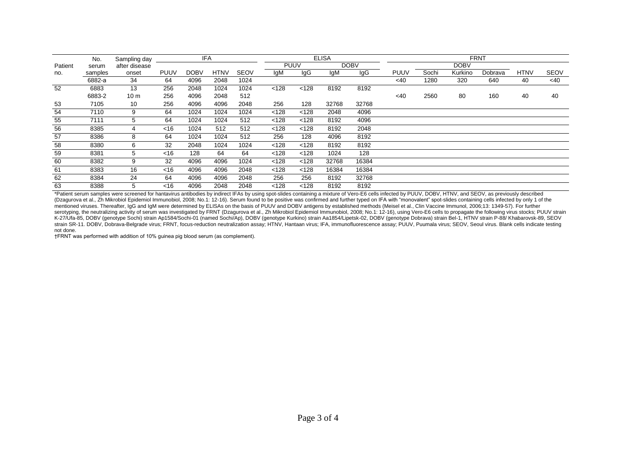|         | No.     | Sampling day    | <b>IFA</b> |             |             | <b>ELISA</b> |             |       |       | <b>FRNT</b> |             |       |             |         |             |             |
|---------|---------|-----------------|------------|-------------|-------------|--------------|-------------|-------|-------|-------------|-------------|-------|-------------|---------|-------------|-------------|
| Patient | serum   | after disease   |            |             |             |              | <b>PUUV</b> |       |       | <b>DOBV</b> |             |       | <b>DOBV</b> |         |             |             |
| no.     | samples | onset           | PUUV       | <b>DOBV</b> | <b>HTNV</b> | <b>SEOV</b>  | IqM         | lgG   | IgM   | lgG         | <b>PUUV</b> | Sochi | Kurkino     | Dobrava | <b>HTNV</b> | <b>SEOV</b> |
|         | 6882-a  | 34              | 64         | 4096        | 2048        | 1024         |             |       |       |             | <40         | 1280  | 320         | 640     | 40          | $<$ 40      |
| 52      | 6883    | 13              | 256        | 2048        | 1024        | 1024         | < 128       | < 128 | 8192  | 8192        |             |       |             |         |             |             |
|         | 6883-2  | 10 <sub>m</sub> | 256        | 4096        | 2048        | 512          |             |       |       |             | <40         | 2560  | 80          | 160     | 40          | 40          |
| 53      | 7105    | 10              | 256        | 4096        | 4096        | 2048         | 256         | 128   | 32768 | 32768       |             |       |             |         |             |             |
| 54      | 7110    | 9               | 64         | 1024        | 1024        | 1024         | < 128       | < 128 | 2048  | 4096        |             |       |             |         |             |             |
| 55      | 7111    | 5               | 64         | 1024        | 1024        | 512          | <128        | < 128 | 8192  | 4096        |             |       |             |         |             |             |
| 56      | 8385    | 4               | <16        | 1024        | 512         | 512          | <128        | < 128 | 8192  | 2048        |             |       |             |         |             |             |
| 57      | 8386    | 8               | 64         | 1024        | 1024        | 512          | 256         | 128   | 4096  | 8192        |             |       |             |         |             |             |
| 58      | 8380    | 6               | 32         | 2048        | 1024        | 1024         | < 128       | < 128 | 8192  | 8192        |             |       |             |         |             |             |
| 59      | 8381    | 5               | <16        | 128         | 64          | 64           | < 128       | < 128 | 1024  | 128         |             |       |             |         |             |             |
| 60      | 8382    | 9               | 32         | 4096        | 4096        | 1024         | < 128       | < 128 | 32768 | 16384       |             |       |             |         |             |             |
| 61      | 8383    | 16              | <16        | 4096        | 4096        | 2048         | < 128       | < 128 | 16384 | 16384       |             |       |             |         |             |             |
| 62      | 8384    | 24              | 64         | 4096        | 4096        | 2048         | 256         | 256   | 8192  | 32768       |             |       |             |         |             |             |
| 63      | 8388    | 5               | <16        | 4096        | 2048        | 2048         | <128        | < 128 | 8192  | 8192        |             |       |             |         |             |             |

\*Patient serum samples were screened for hantavirus antibodies by indirect IFAs by using spot-slides containing a mixture of Vero-E6 cells infected by PUUV, DOBV, HTNV, and SEOV, as previously described (Dzagurova et al., Zh Mikrobiol Epidemiol Immunobiol, 2008; No.1: 12-16). Serum found to be positive was confirmed and further typed on IFA with "monovalent" spot-slides containing cells infected by only 1 of the mentioned viruses. Thereafter, IgG and IgM were determined by ELISAs on the basis of PUUV and DOBV antigens by established methods (Meisel et al., Clin Vaccine Immunol, 2006;13: 1349-57). For further serotyping, the neutralizing activity of serum was investigated by FRNT (Dzagurova et al., Zh Mikrobiol Epidemiol Immunobiol, 2008; No.1: 12-16), using Vero-E6 cells to propagate the following virus stocks; PUUV strain K-27/Ufa-85, DOBV (genotype Sochi) strain Ap1584/Sochi-01 (named Sochi/Ap), DOBV (genotype Kurkino) strain Aa1854/Lipetsk-02, DOBV (genotype Dobrava) strain Bel-1, HTNV strain P-88/ Khabarovsk-89, SEOV strain SR-11. DOBV, Dobrava-Belgrade virus; FRNT, focus-reduction neutralization assay; HTNV, Hantaan virus; IFA, immunofluorescence assay; PUUV, Puumala virus; SEOV, Seoul virus. Blank cells indicate testing not done.

†FRNT was performed with addition of 10% guinea pig blood serum (as complement).